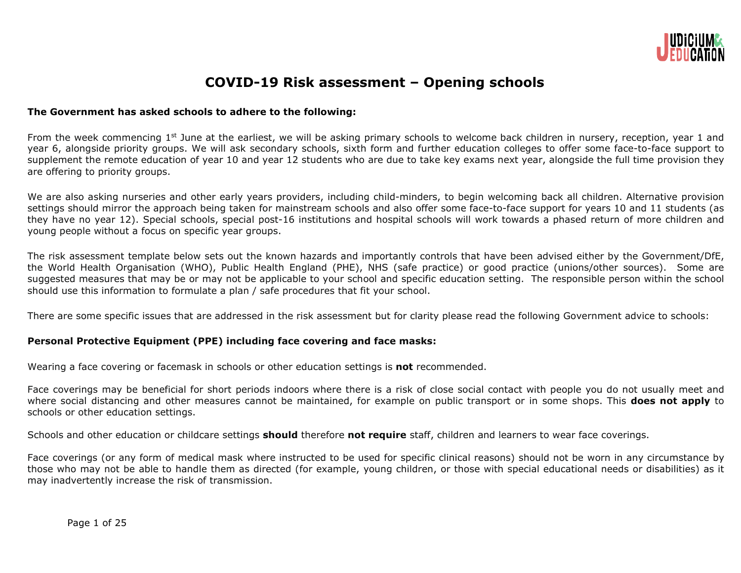

# **COVID-19 Risk assessment – Opening schools**

#### **The Government has asked schools to adhere to the following:**

From the week commencing 1<sup>st</sup> June at the earliest, we will be asking primary schools to welcome back children in nursery, reception, year 1 and year 6, alongside priority groups. We will ask secondary schools, sixth form and further education colleges to offer some face-to-face support to supplement the remote education of year 10 and year 12 students who are due to take key exams next year, alongside the full time provision they are offering to priority groups.

We are also asking nurseries and other early years providers, including child-minders, to begin welcoming back all children. Alternative provision settings should mirror the approach being taken for mainstream schools and also offer some face-to-face support for years 10 and 11 students (as they have no year 12). Special schools, special post-16 institutions and hospital schools will work towards a phased return of more children and young people without a focus on specific year groups.

The risk assessment template below sets out the known hazards and importantly controls that have been advised either by the Government/DfE, the World Health Organisation (WHO), Public Health England (PHE), NHS (safe practice) or good practice (unions/other sources). Some are suggested measures that may be or may not be applicable to your school and specific education setting. The responsible person within the school should use this information to formulate a plan / safe procedures that fit your school.

There are some specific issues that are addressed in the risk assessment but for clarity please read the following Government advice to schools:

#### **Personal Protective Equipment (PPE) including face covering and face masks:**

Wearing a face covering or facemask in schools or other education settings is **not** recommended.

Face coverings may be beneficial for short periods indoors where there is a risk of close social contact with people you do not usually meet and where social distancing and other measures cannot be maintained, for example on public transport or in some shops. This **does not apply** to schools or other education settings.

Schools and other education or childcare settings **should** therefore **not require** staff, children and learners to wear face coverings.

Face coverings (or any form of medical mask where instructed to be used for specific clinical reasons) should not be worn in any circumstance by those who may not be able to handle them as directed (for example, young children, or those with special educational needs or disabilities) as it may inadvertently increase the risk of transmission.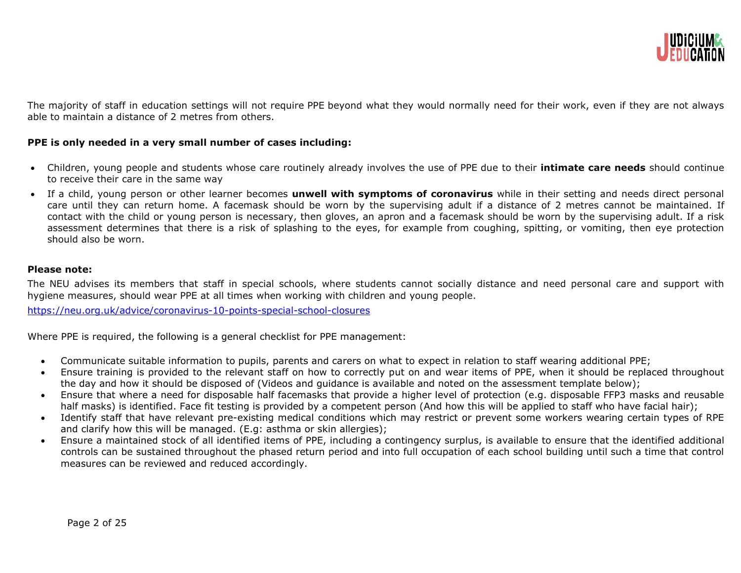

The majority of staff in education settings will not require PPE beyond what they would normally need for their work, even if they are not always able to maintain a distance of 2 metres from others.

#### **PPE is only needed in a very small number of cases including:**

- Children, young people and students whose care routinely already involves the use of PPE due to their **intimate care needs** should continue to receive their care in the same way
- If a child, young person or other learner becomes **unwell with symptoms of coronavirus** while in their setting and needs direct personal care until they can return home. A facemask should be worn by the supervising adult if a distance of 2 metres cannot be maintained. If contact with the child or young person is necessary, then gloves, an apron and a facemask should be worn by the supervising adult. If a risk assessment determines that there is a risk of splashing to the eyes, for example from coughing, spitting, or vomiting, then eye protection should also be worn.

#### **Please note:**

The NEU advises its members that staff in special schools, where students cannot socially distance and need personal care and support with hygiene measures, should wear PPE at all times when working with children and young people.

<https://neu.org.uk/advice/coronavirus-10-points-special-school-closures>

Where PPE is required, the following is a general checklist for PPE management:

- Communicate suitable information to pupils, parents and carers on what to expect in relation to staff wearing additional PPE;
- Ensure training is provided to the relevant staff on how to correctly put on and wear items of PPE, when it should be replaced throughout the day and how it should be disposed of (Videos and guidance is available and noted on the assessment template below);
- Ensure that where a need for disposable half facemasks that provide a higher level of protection (e.g. disposable FFP3 masks and reusable half masks) is identified. Face fit testing is provided by a competent person (And how this will be applied to staff who have facial hair);
- Identify staff that have relevant pre-existing medical conditions which may restrict or prevent some workers wearing certain types of RPE and clarify how this will be managed. (E.g: asthma or skin allergies);
- Ensure a maintained stock of all identified items of PPE, including a contingency surplus, is available to ensure that the identified additional controls can be sustained throughout the phased return period and into full occupation of each school building until such a time that control measures can be reviewed and reduced accordingly.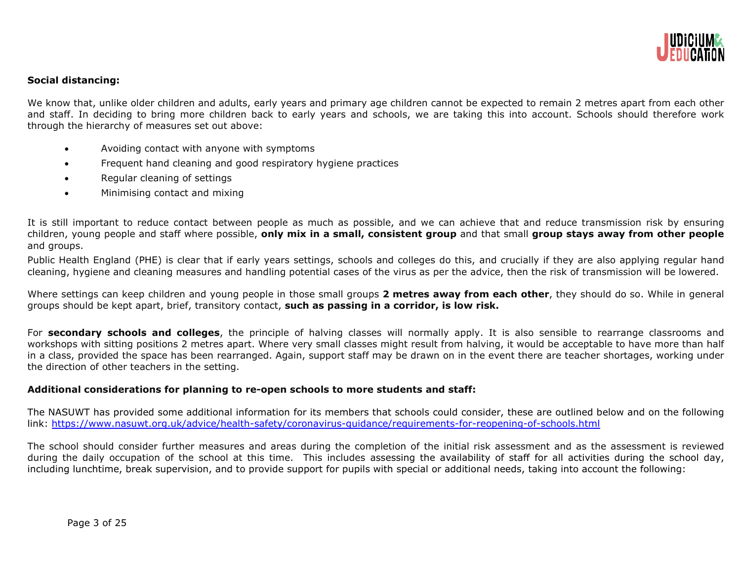

#### **Social distancing:**

We know that, unlike older children and adults, early years and primary age children cannot be expected to remain 2 metres apart from each other and staff. In deciding to bring more children back to early years and schools, we are taking this into account. Schools should therefore work through the hierarchy of measures set out above:

- Avoiding contact with anyone with symptoms
- Frequent hand cleaning and good respiratory hygiene practices
- Regular cleaning of settings
- Minimising contact and mixing

It is still important to reduce contact between people as much as possible, and we can achieve that and reduce transmission risk by ensuring children, young people and staff where possible, **only mix in a small, consistent group** and that small **group stays away from other people** and groups.

Public Health England (PHE) is clear that if early years settings, schools and colleges do this, and crucially if they are also applying regular hand cleaning, hygiene and cleaning measures and handling potential cases of the virus as per the advice, then the risk of transmission will be lowered.

Where settings can keep children and young people in those small groups **2 metres away from each other**, they should do so. While in general groups should be kept apart, brief, transitory contact, **such as passing in a corridor, is low risk.**

For **secondary schools and colleges**, the principle of halving classes will normally apply. It is also sensible to rearrange classrooms and workshops with sitting positions 2 metres apart. Where very small classes might result from halving, it would be acceptable to have more than half in a class, provided the space has been rearranged. Again, support staff may be drawn on in the event there are teacher shortages, working under the direction of other teachers in the setting.

#### **Additional considerations for planning to re-open schools to more students and staff:**

The NASUWT has provided some additional information for its members that schools could consider, these are outlined below and on the following link:<https://www.nasuwt.org.uk/advice/health-safety/coronavirus-guidance/requirements-for-reopening-of-schools.html>

The school should consider further measures and areas during the completion of the initial risk assessment and as the assessment is reviewed during the daily occupation of the school at this time. This includes assessing the availability of staff for all activities during the school day, including lunchtime, break supervision, and to provide support for pupils with special or additional needs, taking into account the following: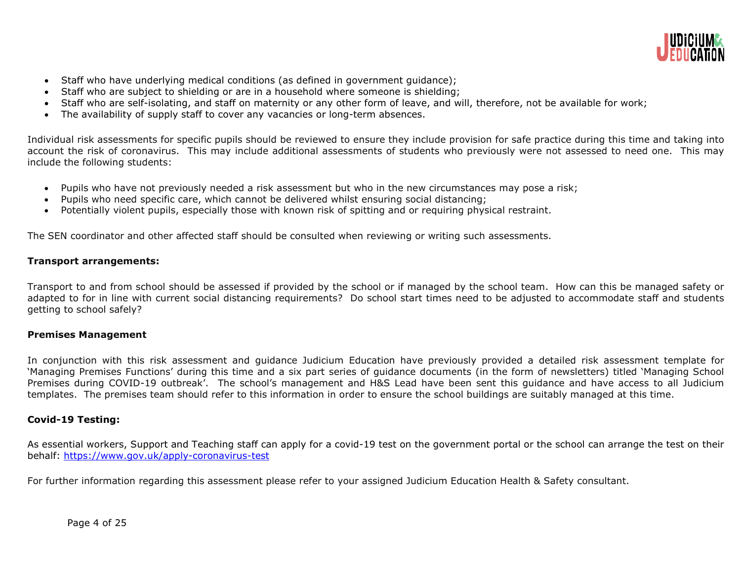

- Staff who have underlying medical conditions (as defined in government guidance);
- Staff who are subject to shielding or are in a household where someone is shielding;
- Staff who are self-isolating, and staff on maternity or any other form of leave, and will, therefore, not be available for work;
- The availability of supply staff to cover any vacancies or long-term absences.

Individual risk assessments for specific pupils should be reviewed to ensure they include provision for safe practice during this time and taking into account the risk of coronavirus. This may include additional assessments of students who previously were not assessed to need one. This may include the following students:

- Pupils who have not previously needed a risk assessment but who in the new circumstances may pose a risk;
- Pupils who need specific care, which cannot be delivered whilst ensuring social distancing;
- Potentially violent pupils, especially those with known risk of spitting and or requiring physical restraint.

The SEN coordinator and other affected staff should be consulted when reviewing or writing such assessments.

# **Transport arrangements:**

Transport to and from school should be assessed if provided by the school or if managed by the school team. How can this be managed safety or adapted to for in line with current social distancing requirements? Do school start times need to be adjusted to accommodate staff and students getting to school safely?

# **Premises Management**

In conjunction with this risk assessment and guidance Judicium Education have previously provided a detailed risk assessment template for 'Managing Premises Functions' during this time and a six part series of guidance documents (in the form of newsletters) titled 'Managing School Premises during COVID-19 outbreak'. The school's management and H&S Lead have been sent this guidance and have access to all Judicium templates. The premises team should refer to this information in order to ensure the school buildings are suitably managed at this time.

# **Covid-19 Testing:**

As essential workers, Support and Teaching staff can apply for a covid-19 test on the government portal or the school can arrange the test on their behalf: https://www.gov.uk/apply-coronavirus-test

For further information regarding this assessment please refer to your assigned Judicium Education Health & Safety consultant.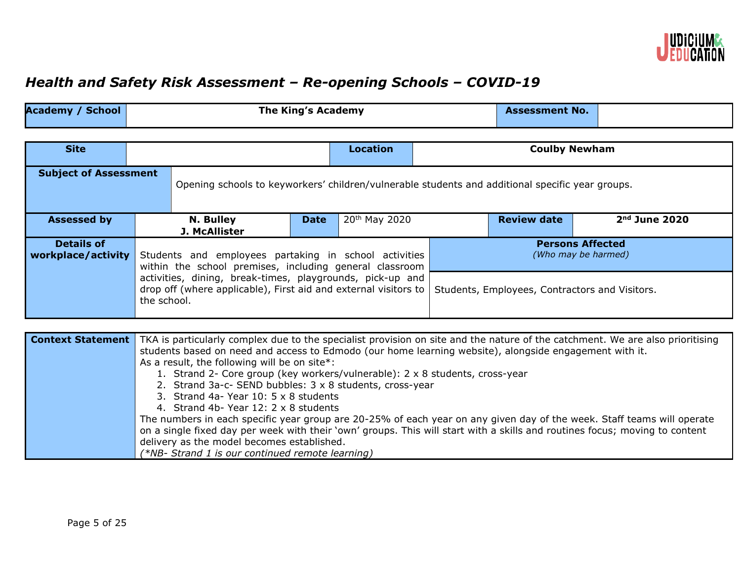

# *Health and Safety Risk Assessment – Re-opening Schools – COVID-19*

| <b>Academy / School</b>                 |             | <b>The King's Academy</b>                                                                                        |                                                                                                                                                                                |                           |  | <b>Assessment No.</b>                          |                 |  |
|-----------------------------------------|-------------|------------------------------------------------------------------------------------------------------------------|--------------------------------------------------------------------------------------------------------------------------------------------------------------------------------|---------------------------|--|------------------------------------------------|-----------------|--|
| <b>Site</b>                             |             |                                                                                                                  |                                                                                                                                                                                | <b>Location</b>           |  | <b>Coulby Newham</b>                           |                 |  |
|                                         |             |                                                                                                                  |                                                                                                                                                                                |                           |  |                                                |                 |  |
| <b>Subject of Assessment</b>            |             | Opening schools to keyworkers' children/vulnerable students and additional specific year groups.                 |                                                                                                                                                                                |                           |  |                                                |                 |  |
| <b>Assessed by</b>                      |             | N. Bulley<br>J. McAllister                                                                                       | <b>Date</b>                                                                                                                                                                    | 20 <sup>th</sup> May 2020 |  | <b>Review date</b>                             | $2nd$ June 2020 |  |
| <b>Details of</b><br>workplace/activity |             | Students and employees partaking in school activities<br>within the school premises, including general classroom |                                                                                                                                                                                |                           |  | <b>Persons Affected</b><br>(Who may be harmed) |                 |  |
|                                         | the school. |                                                                                                                  | activities, dining, break-times, playgrounds, pick-up and<br>drop off (where applicable), First aid and external visitors to<br>Students, Employees, Contractors and Visitors. |                           |  |                                                |                 |  |

| <b>Context Statement</b> | TKA is particularly complex due to the specialist provision on site and the nature of the catchment. We are also prioritising |
|--------------------------|-------------------------------------------------------------------------------------------------------------------------------|
|                          | students based on need and access to Edmodo (our home learning website), alongside engagement with it.                        |
|                          | As a result, the following will be on site*:                                                                                  |
|                          | 1. Strand 2- Core group (key workers/vulnerable): 2 x 8 students, cross-year                                                  |
|                          | 2. Strand 3a-c- SEND bubbles: 3 x 8 students, cross-year                                                                      |
|                          | 3. Strand 4a- Year 10: 5 x 8 students                                                                                         |
|                          | 4. Strand 4b- Year 12: 2 x 8 students                                                                                         |
|                          | The numbers in each specific year group are 20-25% of each year on any given day of the week. Staff teams will operate        |
|                          | on a single fixed day per week with their 'own' groups. This will start with a skills and routines focus; moving to content   |
|                          | delivery as the model becomes established.                                                                                    |
|                          | (*NB- Strand 1 is our continued remote learning)                                                                              |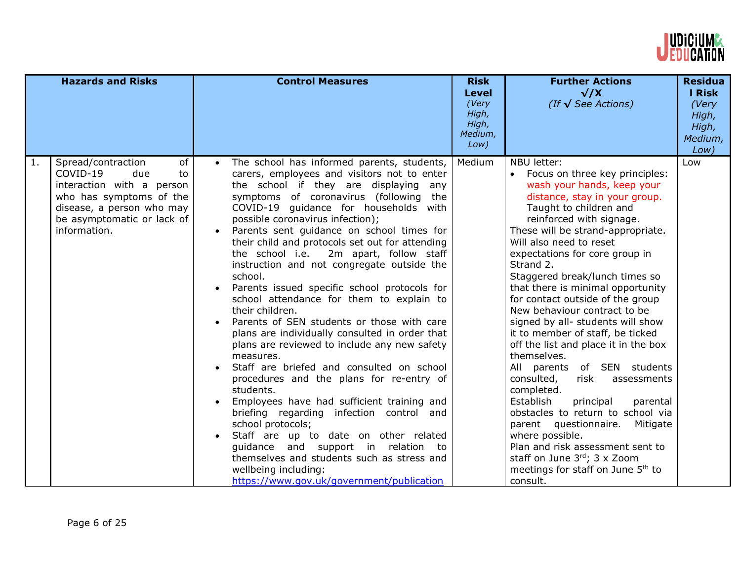

|    | <b>Hazards and Risks</b>                                                                                                                                                             | <b>Control Measures</b>                                                                                                                                                                                                                                                                                                                                                                                                                                                                                                                                                                                                                                                                                                                                                                                                                                                                                                                                                                                                                                                                                                                                                | <b>Risk</b><br><b>Level</b><br>(Very<br>High,<br>High,<br>Medium,<br>Low) | <b>Further Actions</b><br>$\sqrt{X}$<br>(If $\sqrt{\text{See}$ Actions)                                                                                                                                                                                                                                                                                                                                                                                                                                                                                                                                                                                                                                                                                                                                                                                                                                                 | <b>Residua</b><br><b>I Risk</b><br>(Very<br>High,<br>High,<br>Medium,<br>Low) |
|----|--------------------------------------------------------------------------------------------------------------------------------------------------------------------------------------|------------------------------------------------------------------------------------------------------------------------------------------------------------------------------------------------------------------------------------------------------------------------------------------------------------------------------------------------------------------------------------------------------------------------------------------------------------------------------------------------------------------------------------------------------------------------------------------------------------------------------------------------------------------------------------------------------------------------------------------------------------------------------------------------------------------------------------------------------------------------------------------------------------------------------------------------------------------------------------------------------------------------------------------------------------------------------------------------------------------------------------------------------------------------|---------------------------------------------------------------------------|-------------------------------------------------------------------------------------------------------------------------------------------------------------------------------------------------------------------------------------------------------------------------------------------------------------------------------------------------------------------------------------------------------------------------------------------------------------------------------------------------------------------------------------------------------------------------------------------------------------------------------------------------------------------------------------------------------------------------------------------------------------------------------------------------------------------------------------------------------------------------------------------------------------------------|-------------------------------------------------------------------------------|
| 1. | Spread/contraction<br>of<br>COVID-19<br>due<br>to<br>interaction with a person<br>who has symptoms of the<br>disease, a person who may<br>be asymptomatic or lack of<br>information. | The school has informed parents, students,<br>carers, employees and visitors not to enter<br>the school if they are displaying<br>any<br>symptoms of coronavirus (following the<br>COVID-19 guidance for households with<br>possible coronavirus infection);<br>Parents sent guidance on school times for<br>their child and protocols set out for attending<br>the school i.e.<br>2m apart, follow staff<br>instruction and not congregate outside the<br>school.<br>Parents issued specific school protocols for<br>school attendance for them to explain to<br>their children.<br>Parents of SEN students or those with care<br>plans are individually consulted in order that<br>plans are reviewed to include any new safety<br>measures.<br>Staff are briefed and consulted on school<br>procedures and the plans for re-entry of<br>students.<br>Employees have had sufficient training and<br>briefing regarding infection control and<br>school protocols;<br>Staff are up to date on other related<br>guidance and support in relation to<br>themselves and students such as stress and<br>wellbeing including:<br>https://www.gov.uk/government/publication | Medium                                                                    | NBU letter:<br>Focus on three key principles:<br>wash your hands, keep your<br>distance, stay in your group.<br>Taught to children and<br>reinforced with signage.<br>These will be strand-appropriate.<br>Will also need to reset<br>expectations for core group in<br>Strand 2.<br>Staggered break/lunch times so<br>that there is minimal opportunity<br>for contact outside of the group<br>New behaviour contract to be<br>signed by all- students will show<br>it to member of staff, be ticked<br>off the list and place it in the box<br>themselves.<br>All parents of SEN students<br>consulted,<br>risk<br>assessments<br>completed.<br>Establish<br>principal<br>parental<br>obstacles to return to school via<br>parent questionnaire.<br>Mitigate<br>where possible.<br>Plan and risk assessment sent to<br>staff on June $3^{rd}$ ; 3 x Zoom<br>meetings for staff on June 5 <sup>th</sup> to<br>consult. | Low                                                                           |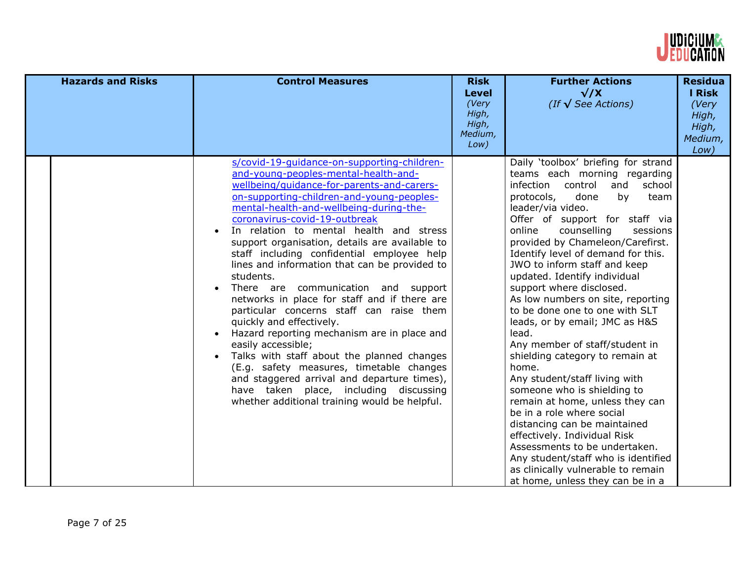

| <b>Hazards and Risks</b> | <b>Control Measures</b>                                                                                                                                                                                                                                                                                                                                                                                                                                                                                                                                                                                                                                                                                                                                                                                                                                                                                                                                  | <b>Risk</b><br><b>Level</b><br>(Very<br>High,<br>High,<br>Medium,<br>Low) | <b>Further Actions</b><br>$\sqrt{X}$<br>(If $\sqrt{\text{See}$ Actions)                                                                                                                                                                                                                                                                                                                                                                                                                                                                                                                                                                                                                                                                                                                                                                                                                                                                                           | <b>Residua</b><br><b>I Risk</b><br>(Very<br>High,<br>High,<br>Medium,<br>Low) |
|--------------------------|----------------------------------------------------------------------------------------------------------------------------------------------------------------------------------------------------------------------------------------------------------------------------------------------------------------------------------------------------------------------------------------------------------------------------------------------------------------------------------------------------------------------------------------------------------------------------------------------------------------------------------------------------------------------------------------------------------------------------------------------------------------------------------------------------------------------------------------------------------------------------------------------------------------------------------------------------------|---------------------------------------------------------------------------|-------------------------------------------------------------------------------------------------------------------------------------------------------------------------------------------------------------------------------------------------------------------------------------------------------------------------------------------------------------------------------------------------------------------------------------------------------------------------------------------------------------------------------------------------------------------------------------------------------------------------------------------------------------------------------------------------------------------------------------------------------------------------------------------------------------------------------------------------------------------------------------------------------------------------------------------------------------------|-------------------------------------------------------------------------------|
|                          | s/covid-19-quidance-on-supporting-children-<br>and-young-peoples-mental-health-and-<br>wellbeing/guidance-for-parents-and-carers-<br>on-supporting-children-and-young-peoples-<br>mental-health-and-wellbeing-during-the-<br>coronavirus-covid-19-outbreak<br>In relation to mental health and stress<br>support organisation, details are available to<br>staff including confidential employee help<br>lines and information that can be provided to<br>students.<br>There are communication and support<br>$\bullet$<br>networks in place for staff and if there are<br>particular concerns staff can raise them<br>quickly and effectively.<br>Hazard reporting mechanism are in place and<br>easily accessible;<br>Talks with staff about the planned changes<br>(E.g. safety measures, timetable changes<br>and staggered arrival and departure times),<br>have taken place, including discussing<br>whether additional training would be helpful. |                                                                           | Daily 'toolbox' briefing for strand<br>teams each morning regarding<br>infection control<br>and<br>school<br>protocols,<br>done<br>by<br>team<br>leader/via video.<br>Offer of support for staff via<br>online<br>counselling<br>sessions<br>provided by Chameleon/Carefirst.<br>Identify level of demand for this.<br>JWO to inform staff and keep<br>updated. Identify individual<br>support where disclosed.<br>As low numbers on site, reporting<br>to be done one to one with SLT<br>leads, or by email; JMC as H&S<br>lead.<br>Any member of staff/student in<br>shielding category to remain at<br>home.<br>Any student/staff living with<br>someone who is shielding to<br>remain at home, unless they can<br>be in a role where social<br>distancing can be maintained<br>effectively. Individual Risk<br>Assessments to be undertaken.<br>Any student/staff who is identified<br>as clinically vulnerable to remain<br>at home, unless they can be in a |                                                                               |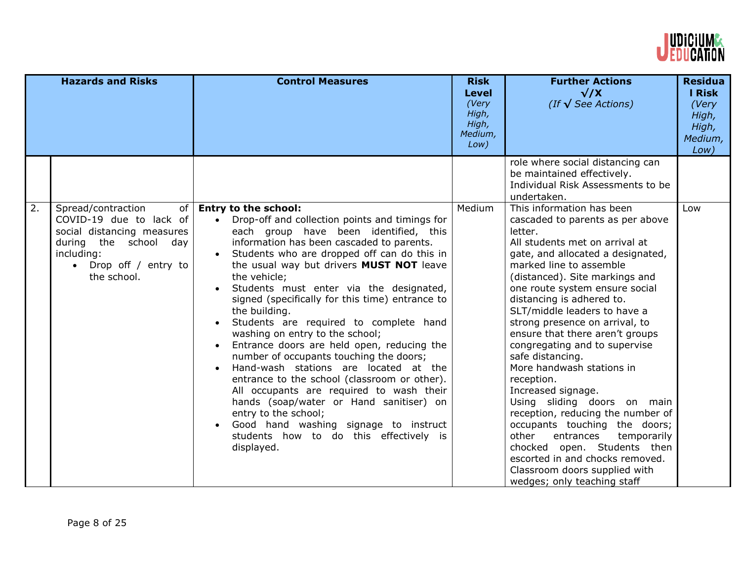

|                  | <b>Hazards and Risks</b>                                                                                                                                                    | <b>Control Measures</b>                                                                                                                                                                                                                                                                                                                                                                                                                                                                                                                                                                                                                                                                                                                                                                                                                                                      | <b>Risk</b><br><b>Level</b><br>(Very<br>High,<br>High,<br>Medium,<br>Low) | <b>Further Actions</b><br>$\sqrt{X}$<br>(If $\sqrt{\text{See}$ Actions)                                                                                                                                                                                                                                                                                                                                                                                                                                                                                                                                                                                                                                                                                                            | <b>Residua</b><br><b>I Risk</b><br>(Very<br>High,<br>High,<br>Medium,<br>Low) |
|------------------|-----------------------------------------------------------------------------------------------------------------------------------------------------------------------------|------------------------------------------------------------------------------------------------------------------------------------------------------------------------------------------------------------------------------------------------------------------------------------------------------------------------------------------------------------------------------------------------------------------------------------------------------------------------------------------------------------------------------------------------------------------------------------------------------------------------------------------------------------------------------------------------------------------------------------------------------------------------------------------------------------------------------------------------------------------------------|---------------------------------------------------------------------------|------------------------------------------------------------------------------------------------------------------------------------------------------------------------------------------------------------------------------------------------------------------------------------------------------------------------------------------------------------------------------------------------------------------------------------------------------------------------------------------------------------------------------------------------------------------------------------------------------------------------------------------------------------------------------------------------------------------------------------------------------------------------------------|-------------------------------------------------------------------------------|
|                  |                                                                                                                                                                             |                                                                                                                                                                                                                                                                                                                                                                                                                                                                                                                                                                                                                                                                                                                                                                                                                                                                              |                                                                           | role where social distancing can<br>be maintained effectively.<br>Individual Risk Assessments to be<br>undertaken.                                                                                                                                                                                                                                                                                                                                                                                                                                                                                                                                                                                                                                                                 |                                                                               |
| $\overline{2}$ . | Spread/contraction<br>of<br>COVID-19 due to lack of<br>social distancing measures<br>during the school day<br>including:<br>Drop off / entry to<br>$\bullet$<br>the school. | <b>Entry to the school:</b><br>Drop-off and collection points and timings for<br>each group have been identified, this<br>information has been cascaded to parents.<br>Students who are dropped off can do this in<br>the usual way but drivers MUST NOT leave<br>the vehicle;<br>Students must enter via the designated,<br>signed (specifically for this time) entrance to<br>the building.<br>Students are required to complete hand<br>washing on entry to the school;<br>Entrance doors are held open, reducing the<br>number of occupants touching the doors;<br>Hand-wash stations are located at the<br>entrance to the school (classroom or other).<br>All occupants are required to wash their<br>hands (soap/water or Hand sanitiser) on<br>entry to the school;<br>Good hand washing signage to instruct<br>students how to do this effectively is<br>displayed. | Medium                                                                    | This information has been<br>cascaded to parents as per above<br>letter.<br>All students met on arrival at<br>gate, and allocated a designated,<br>marked line to assemble<br>(distanced). Site markings and<br>one route system ensure social<br>distancing is adhered to.<br>SLT/middle leaders to have a<br>strong presence on arrival, to<br>ensure that there aren't groups<br>congregating and to supervise<br>safe distancing.<br>More handwash stations in<br>reception.<br>Increased signage.<br>Using sliding doors on main<br>reception, reducing the number of<br>occupants touching the doors;<br>other<br>entrances<br>temporarily<br>chocked open. Students then<br>escorted in and chocks removed.<br>Classroom doors supplied with<br>wedges; only teaching staff | Low                                                                           |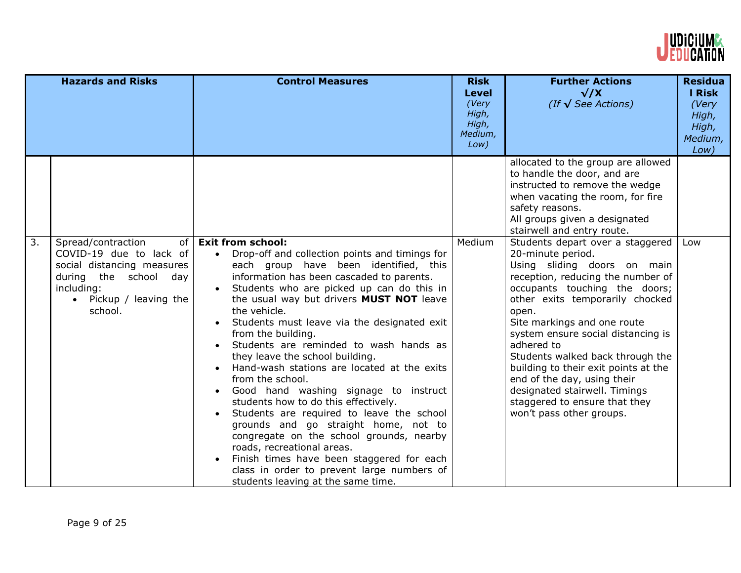

|    | <b>Hazards and Risks</b>                                                                                                                                       | <b>Control Measures</b>                                                                                                                                                                                                                                                                                                                                                                                                                                                                                                                                                                                                                                                                                                                                                                                                                                                                      | <b>Risk</b><br><b>Level</b><br>(Very<br>High,<br>High,<br>Medium,<br>Low) | <b>Further Actions</b><br>$\sqrt{X}$<br>(If $\sqrt{\text{See}$ Actions)                                                                                                                                                                                                                                                                                                                                                                                                                            | <b>Residua</b><br><b>I Risk</b><br>(Very<br>High,<br>High,<br>Medium,<br>Low) |
|----|----------------------------------------------------------------------------------------------------------------------------------------------------------------|----------------------------------------------------------------------------------------------------------------------------------------------------------------------------------------------------------------------------------------------------------------------------------------------------------------------------------------------------------------------------------------------------------------------------------------------------------------------------------------------------------------------------------------------------------------------------------------------------------------------------------------------------------------------------------------------------------------------------------------------------------------------------------------------------------------------------------------------------------------------------------------------|---------------------------------------------------------------------------|----------------------------------------------------------------------------------------------------------------------------------------------------------------------------------------------------------------------------------------------------------------------------------------------------------------------------------------------------------------------------------------------------------------------------------------------------------------------------------------------------|-------------------------------------------------------------------------------|
|    |                                                                                                                                                                |                                                                                                                                                                                                                                                                                                                                                                                                                                                                                                                                                                                                                                                                                                                                                                                                                                                                                              |                                                                           | allocated to the group are allowed<br>to handle the door, and are<br>instructed to remove the wedge<br>when vacating the room, for fire<br>safety reasons.<br>All groups given a designated<br>stairwell and entry route.                                                                                                                                                                                                                                                                          |                                                                               |
| 3. | Spread/contraction<br>of<br>COVID-19 due to lack of<br>social distancing measures<br>during<br>the school day<br>including:<br>Pickup / leaving the<br>school. | <b>Exit from school:</b><br>Drop-off and collection points and timings for<br>each group have been identified, this<br>information has been cascaded to parents.<br>Students who are picked up can do this in<br>$\bullet$<br>the usual way but drivers MUST NOT leave<br>the vehicle.<br>Students must leave via the designated exit<br>from the building.<br>Students are reminded to wash hands as<br>they leave the school building.<br>Hand-wash stations are located at the exits<br>from the school.<br>Good hand washing signage to instruct<br>students how to do this effectively.<br>Students are required to leave the school<br>grounds and go straight home, not to<br>congregate on the school grounds, nearby<br>roads, recreational areas.<br>Finish times have been staggered for each<br>class in order to prevent large numbers of<br>students leaving at the same time. | Medium                                                                    | Students depart over a staggered<br>20-minute period.<br>Using sliding doors on main<br>reception, reducing the number of<br>occupants touching the doors;<br>other exits temporarily chocked<br>open.<br>Site markings and one route<br>system ensure social distancing is<br>adhered to<br>Students walked back through the<br>building to their exit points at the<br>end of the day, using their<br>designated stairwell. Timings<br>staggered to ensure that they<br>won't pass other groups. | Low                                                                           |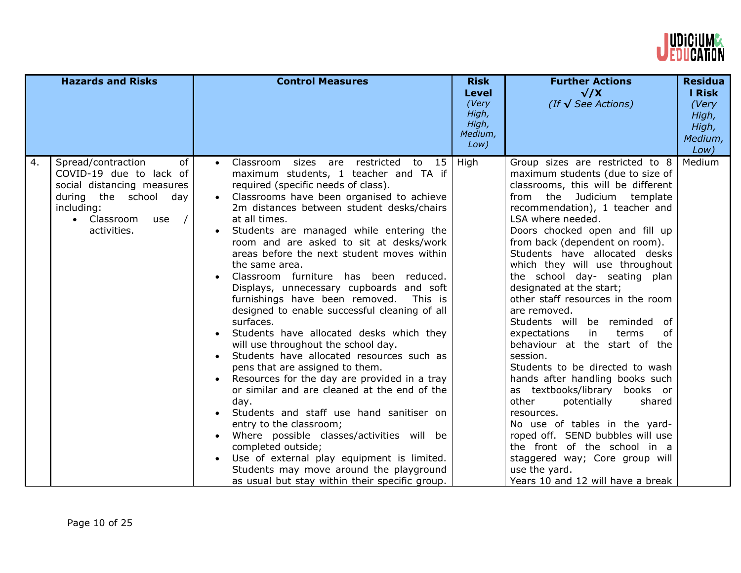

|    | <b>Hazards and Risks</b>                                                                                                                                                               | <b>Control Measures</b>                                                                                                                                                                                                                                                                                                                                                                                                                                                                                                                                                                                                                                                                                                                                                                                                                                                                                                                                                                                                                                                                                                                               | <b>Risk</b><br><b>Level</b><br>(Very<br>High,<br>High,<br>Medium,<br>Low) | <b>Further Actions</b><br>$\sqrt{X}$<br>(If $\sqrt{\text{See}$ Actions)                                                                                                                                                                                                                                                                                                                                                                                                                                                                                                                                                                                                                                                                                                                                                                                                                                                      | <b>Residua</b><br>I Risk<br>(Very<br>High,<br>High,<br>Medium,<br>Low) |
|----|----------------------------------------------------------------------------------------------------------------------------------------------------------------------------------------|-------------------------------------------------------------------------------------------------------------------------------------------------------------------------------------------------------------------------------------------------------------------------------------------------------------------------------------------------------------------------------------------------------------------------------------------------------------------------------------------------------------------------------------------------------------------------------------------------------------------------------------------------------------------------------------------------------------------------------------------------------------------------------------------------------------------------------------------------------------------------------------------------------------------------------------------------------------------------------------------------------------------------------------------------------------------------------------------------------------------------------------------------------|---------------------------------------------------------------------------|------------------------------------------------------------------------------------------------------------------------------------------------------------------------------------------------------------------------------------------------------------------------------------------------------------------------------------------------------------------------------------------------------------------------------------------------------------------------------------------------------------------------------------------------------------------------------------------------------------------------------------------------------------------------------------------------------------------------------------------------------------------------------------------------------------------------------------------------------------------------------------------------------------------------------|------------------------------------------------------------------------|
| 4. | Spread/contraction<br>of<br>COVID-19 due to lack of<br>social distancing measures<br>during the school day<br>including:<br>Classroom<br>$\sqrt{ }$<br>$\bullet$<br>use<br>activities. | Classroom sizes are restricted to 15<br>maximum students, 1 teacher and TA if<br>required (specific needs of class).<br>Classrooms have been organised to achieve<br>2m distances between student desks/chairs<br>at all times.<br>Students are managed while entering the<br>room and are asked to sit at desks/work<br>areas before the next student moves within<br>the same area.<br>Classroom furniture has been reduced.<br>Displays, unnecessary cupboards and soft<br>furnishings have been removed.<br>This is<br>designed to enable successful cleaning of all<br>surfaces.<br>Students have allocated desks which they<br>will use throughout the school day.<br>Students have allocated resources such as<br>pens that are assigned to them.<br>Resources for the day are provided in a tray<br>or similar and are cleaned at the end of the<br>day.<br>Students and staff use hand sanitiser on<br>entry to the classroom;<br>Where possible classes/activities will be<br>completed outside;<br>Use of external play equipment is limited.<br>Students may move around the playground<br>as usual but stay within their specific group. | High                                                                      | Group sizes are restricted to 8<br>maximum students (due to size of<br>classrooms, this will be different<br>from the Judicium template<br>recommendation), 1 teacher and<br>LSA where needed.<br>Doors chocked open and fill up<br>from back (dependent on room).<br>Students have allocated desks<br>which they will use throughout<br>the school day- seating plan<br>designated at the start;<br>other staff resources in the room<br>are removed.<br>Students will be reminded of<br>of<br>expectations<br>in<br>terms<br>behaviour at the start of the<br>session.<br>Students to be directed to wash<br>hands after handling books such<br>as textbooks/library books or<br>other<br>potentially<br>shared<br>resources.<br>No use of tables in the yard-<br>roped off. SEND bubbles will use<br>the front of the school in a<br>staggered way; Core group will<br>use the yard.<br>Years 10 and 12 will have a break | Medium                                                                 |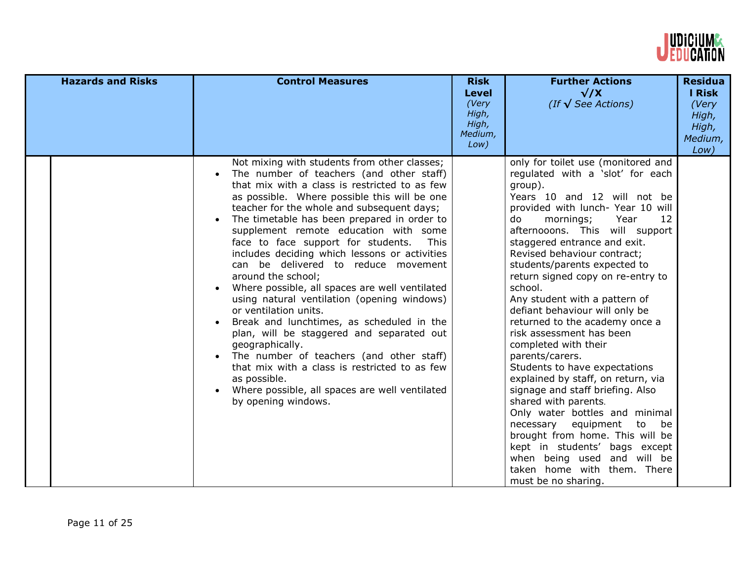

| <b>Hazards and Risks</b> | <b>Control Measures</b>                                                                                                                                                                                                                                                                                                                                                                                                                                                                                                                                                                                                                                                                                                                                                                                                                                                                                                                      | <b>Risk</b><br><b>Level</b><br>(Very<br>High,<br>High,<br>Medium,<br>Low) | <b>Further Actions</b><br>$\sqrt{X}$<br>(If $\sqrt{\text{See}$ Actions)                                                                                                                                                                                                                                                                                                                                                                                                                                                                                                                                                                                                                                                                                                                                                                                                                                                 | <b>Residua</b><br>I Risk<br>(Very<br>High,<br>High,<br>Medium,<br>Low) |
|--------------------------|----------------------------------------------------------------------------------------------------------------------------------------------------------------------------------------------------------------------------------------------------------------------------------------------------------------------------------------------------------------------------------------------------------------------------------------------------------------------------------------------------------------------------------------------------------------------------------------------------------------------------------------------------------------------------------------------------------------------------------------------------------------------------------------------------------------------------------------------------------------------------------------------------------------------------------------------|---------------------------------------------------------------------------|-------------------------------------------------------------------------------------------------------------------------------------------------------------------------------------------------------------------------------------------------------------------------------------------------------------------------------------------------------------------------------------------------------------------------------------------------------------------------------------------------------------------------------------------------------------------------------------------------------------------------------------------------------------------------------------------------------------------------------------------------------------------------------------------------------------------------------------------------------------------------------------------------------------------------|------------------------------------------------------------------------|
|                          | Not mixing with students from other classes;<br>The number of teachers (and other staff)<br>that mix with a class is restricted to as few<br>as possible. Where possible this will be one<br>teacher for the whole and subsequent days;<br>The timetable has been prepared in order to<br>supplement remote education with some<br>face to face support for students.<br><b>This</b><br>includes deciding which lessons or activities<br>can be delivered to reduce movement<br>around the school;<br>Where possible, all spaces are well ventilated<br>$\bullet$<br>using natural ventilation (opening windows)<br>or ventilation units.<br>Break and lunchtimes, as scheduled in the<br>plan, will be staggered and separated out<br>geographically.<br>The number of teachers (and other staff)<br>that mix with a class is restricted to as few<br>as possible.<br>Where possible, all spaces are well ventilated<br>by opening windows. |                                                                           | only for toilet use (monitored and<br>regulated with a 'slot' for each<br>group).<br>Years 10 and 12 will not be<br>provided with lunch- Year 10 will<br>Year<br>12<br>do<br>mornings;<br>afternooons. This will support<br>staggered entrance and exit.<br>Revised behaviour contract;<br>students/parents expected to<br>return signed copy on re-entry to<br>school.<br>Any student with a pattern of<br>defiant behaviour will only be<br>returned to the academy once a<br>risk assessment has been<br>completed with their<br>parents/carers.<br>Students to have expectations<br>explained by staff, on return, via<br>signage and staff briefing. Also<br>shared with parents.<br>Only water bottles and minimal<br>be<br>necessary<br>equipment<br>to<br>brought from home. This will be<br>kept in students' bags except<br>when being used and will be<br>taken home with them. There<br>must be no sharing. |                                                                        |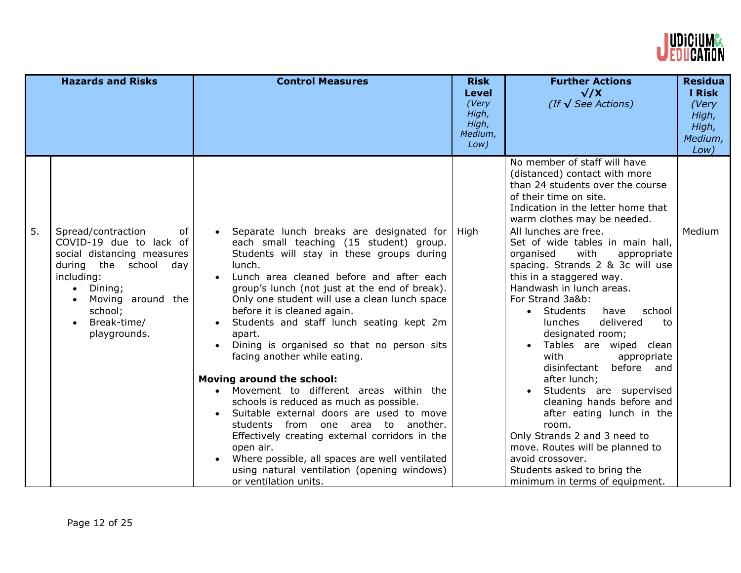

| <b>Hazards and Risks</b>                                                                                                                                                                                       | <b>Control Measures</b>                                                                                                                                                                                                                                                                                                                                                                                                                                                                                                                                                                                                                                                                                                                                                                                                                                           | <b>Risk</b><br><b>Level</b><br>(Very<br>High,<br>High,<br>Medium,<br>Low) | <b>Further Actions</b><br>$\sqrt{X}$<br>(If $\sqrt{\text{See}$ Actions)                                                                                                                                                                                                                                                                                                                                                                                                                                                                                                                                                                                                | <b>Residua</b><br>I Risk<br>(Very<br>High,<br>High,<br>Medium,<br>Low) |
|----------------------------------------------------------------------------------------------------------------------------------------------------------------------------------------------------------------|-------------------------------------------------------------------------------------------------------------------------------------------------------------------------------------------------------------------------------------------------------------------------------------------------------------------------------------------------------------------------------------------------------------------------------------------------------------------------------------------------------------------------------------------------------------------------------------------------------------------------------------------------------------------------------------------------------------------------------------------------------------------------------------------------------------------------------------------------------------------|---------------------------------------------------------------------------|------------------------------------------------------------------------------------------------------------------------------------------------------------------------------------------------------------------------------------------------------------------------------------------------------------------------------------------------------------------------------------------------------------------------------------------------------------------------------------------------------------------------------------------------------------------------------------------------------------------------------------------------------------------------|------------------------------------------------------------------------|
|                                                                                                                                                                                                                |                                                                                                                                                                                                                                                                                                                                                                                                                                                                                                                                                                                                                                                                                                                                                                                                                                                                   |                                                                           | No member of staff will have<br>(distanced) contact with more<br>than 24 students over the course<br>of their time on site.<br>Indication in the letter home that<br>warm clothes may be needed.                                                                                                                                                                                                                                                                                                                                                                                                                                                                       |                                                                        |
| 5.<br>Spread/contraction<br>of<br>COVID-19 due to lack of<br>social distancing measures<br>during<br>the school<br>day<br>including:<br>Dining;<br>Moving around the<br>school;<br>Break-time/<br>playgrounds. | Separate lunch breaks are designated for<br>each small teaching (15 student) group.<br>Students will stay in these groups during<br>lunch.<br>Lunch area cleaned before and after each<br>group's lunch (not just at the end of break).<br>Only one student will use a clean lunch space<br>before it is cleaned again.<br>Students and staff lunch seating kept 2m<br>apart.<br>Dining is organised so that no person sits<br>facing another while eating.<br><b>Moving around the school:</b><br>• Movement to different areas within the<br>schools is reduced as much as possible.<br>Suitable external doors are used to move<br>students from one area to another.<br>Effectively creating external corridors in the<br>open air.<br>Where possible, all spaces are well ventilated<br>using natural ventilation (opening windows)<br>or ventilation units. | <b>High</b>                                                               | All lunches are free.<br>Set of wide tables in main hall,<br>with<br>appropriate<br>organised<br>spacing. Strands 2 & 3c will use<br>this in a staggered way.<br>Handwash in lunch areas.<br>For Strand 3a&b:<br>Students<br>have<br>school<br>$\bullet$<br>delivered<br><b>lunches</b><br>to<br>designated room;<br>Tables are wiped clean<br>with<br>appropriate<br>before and<br>disinfectant<br>after lunch;<br>Students are supervised<br>cleaning hands before and<br>after eating lunch in the<br>room.<br>Only Strands 2 and 3 need to<br>move. Routes will be planned to<br>avoid crossover.<br>Students asked to bring the<br>minimum in terms of equipment. | Medium                                                                 |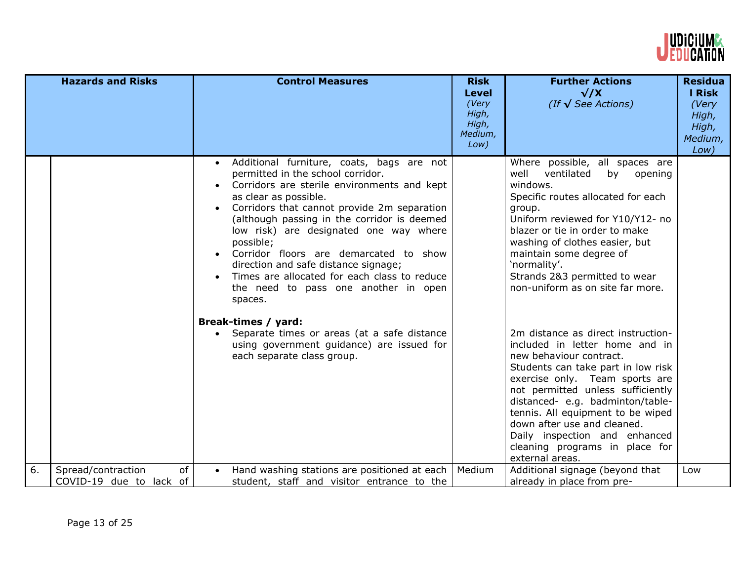

|    | <b>Hazards and Risks</b>                            | <b>Control Measures</b>                                                                                                                                                                                                                                                                                                                                                                                                                                                                                                                                                                                                                                            | <b>Risk</b><br>Level<br>(Very<br>High,<br>High,<br>Medium,<br>Low) | <b>Further Actions</b><br>$\sqrt{X}$<br>(If $\sqrt{\text{See}$ Actions)                                                                                                                                                                                                                                                                                                                                                                                                                                                                                                                                                                                                                                                                              | <b>Residua</b><br><b>I Risk</b><br>(Very<br>High,<br>High,<br>Medium,<br>Low) |
|----|-----------------------------------------------------|--------------------------------------------------------------------------------------------------------------------------------------------------------------------------------------------------------------------------------------------------------------------------------------------------------------------------------------------------------------------------------------------------------------------------------------------------------------------------------------------------------------------------------------------------------------------------------------------------------------------------------------------------------------------|--------------------------------------------------------------------|------------------------------------------------------------------------------------------------------------------------------------------------------------------------------------------------------------------------------------------------------------------------------------------------------------------------------------------------------------------------------------------------------------------------------------------------------------------------------------------------------------------------------------------------------------------------------------------------------------------------------------------------------------------------------------------------------------------------------------------------------|-------------------------------------------------------------------------------|
|    |                                                     | · Additional furniture, coats, bags are not<br>permitted in the school corridor.<br>Corridors are sterile environments and kept<br>as clear as possible.<br>Corridors that cannot provide 2m separation<br>(although passing in the corridor is deemed<br>low risk) are designated one way where<br>possible;<br>Corridor floors are demarcated to show<br>direction and safe distance signage;<br>Times are allocated for each class to reduce<br>$\bullet$<br>the need to pass one another in open<br>spaces.<br>Break-times / yard:<br>• Separate times or areas (at a safe distance<br>using government guidance) are issued for<br>each separate class group. |                                                                    | Where possible, all spaces are<br>well<br>ventilated<br>by<br>opening<br>windows.<br>Specific routes allocated for each<br>group.<br>Uniform reviewed for Y10/Y12- no<br>blazer or tie in order to make<br>washing of clothes easier, but<br>maintain some degree of<br>'normality'.<br>Strands 2&3 permitted to wear<br>non-uniform as on site far more.<br>2m distance as direct instruction-<br>included in letter home and in<br>new behaviour contract.<br>Students can take part in low risk<br>exercise only. Team sports are<br>not permitted unless sufficiently<br>distanced- e.g. badminton/table-<br>tennis. All equipment to be wiped<br>down after use and cleaned.<br>Daily inspection and enhanced<br>cleaning programs in place for |                                                                               |
|    |                                                     |                                                                                                                                                                                                                                                                                                                                                                                                                                                                                                                                                                                                                                                                    |                                                                    | external areas.                                                                                                                                                                                                                                                                                                                                                                                                                                                                                                                                                                                                                                                                                                                                      |                                                                               |
| 6. | Spread/contraction<br>of<br>COVID-19 due to lack of | Hand washing stations are positioned at each<br>student, staff and visitor entrance to the                                                                                                                                                                                                                                                                                                                                                                                                                                                                                                                                                                         | Medium                                                             | Additional signage (beyond that<br>already in place from pre-                                                                                                                                                                                                                                                                                                                                                                                                                                                                                                                                                                                                                                                                                        | Low                                                                           |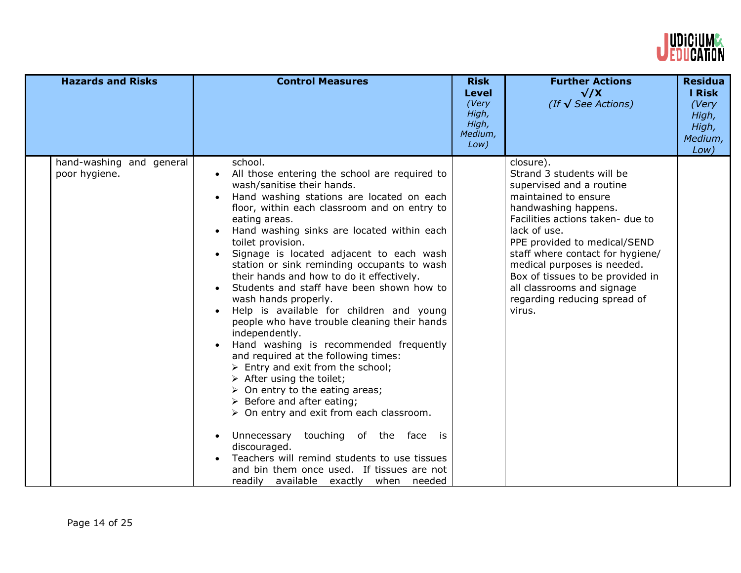

| <b>Hazards and Risks</b>                  | <b>Control Measures</b>                                                                                                                                                                                                                                                                                                                                                                                                                                                                                                                                                                                                                                                                                                                                                                                                                                                                                                                                                                                                                                                                                                                                      | <b>Risk</b><br><b>Level</b><br>(Very<br>High,<br>High,<br>Medium,<br>Low) | <b>Further Actions</b><br>$\sqrt{X}$<br>(If $\sqrt{\text{See}$ Actions)                                                                                                                                                                                                                                                                                                               | <b>Residua</b><br><b>I Risk</b><br>(Very<br>High,<br>High,<br>Medium,<br>Low) |
|-------------------------------------------|--------------------------------------------------------------------------------------------------------------------------------------------------------------------------------------------------------------------------------------------------------------------------------------------------------------------------------------------------------------------------------------------------------------------------------------------------------------------------------------------------------------------------------------------------------------------------------------------------------------------------------------------------------------------------------------------------------------------------------------------------------------------------------------------------------------------------------------------------------------------------------------------------------------------------------------------------------------------------------------------------------------------------------------------------------------------------------------------------------------------------------------------------------------|---------------------------------------------------------------------------|---------------------------------------------------------------------------------------------------------------------------------------------------------------------------------------------------------------------------------------------------------------------------------------------------------------------------------------------------------------------------------------|-------------------------------------------------------------------------------|
| hand-washing and general<br>poor hygiene. | school.<br>All those entering the school are required to<br>wash/sanitise their hands.<br>Hand washing stations are located on each<br>floor, within each classroom and on entry to<br>eating areas.<br>Hand washing sinks are located within each<br>toilet provision.<br>Signage is located adjacent to each wash<br>$\bullet$<br>station or sink reminding occupants to wash<br>their hands and how to do it effectively.<br>Students and staff have been shown how to<br>wash hands properly.<br>Help is available for children and young<br>people who have trouble cleaning their hands<br>independently.<br>Hand washing is recommended frequently<br>and required at the following times:<br>$\triangleright$ Entry and exit from the school;<br>$\triangleright$ After using the toilet;<br>$\triangleright$ On entry to the eating areas;<br>$\triangleright$ Before and after eating;<br>$\triangleright$ On entry and exit from each classroom.<br>Unnecessary<br>touching of the face is<br>discouraged.<br>Teachers will remind students to use tissues<br>and bin them once used. If tissues are not<br>readily available exactly when needed |                                                                           | closure).<br>Strand 3 students will be<br>supervised and a routine<br>maintained to ensure<br>handwashing happens.<br>Facilities actions taken- due to<br>lack of use.<br>PPE provided to medical/SEND<br>staff where contact for hygiene/<br>medical purposes is needed.<br>Box of tissues to be provided in<br>all classrooms and signage<br>regarding reducing spread of<br>virus. |                                                                               |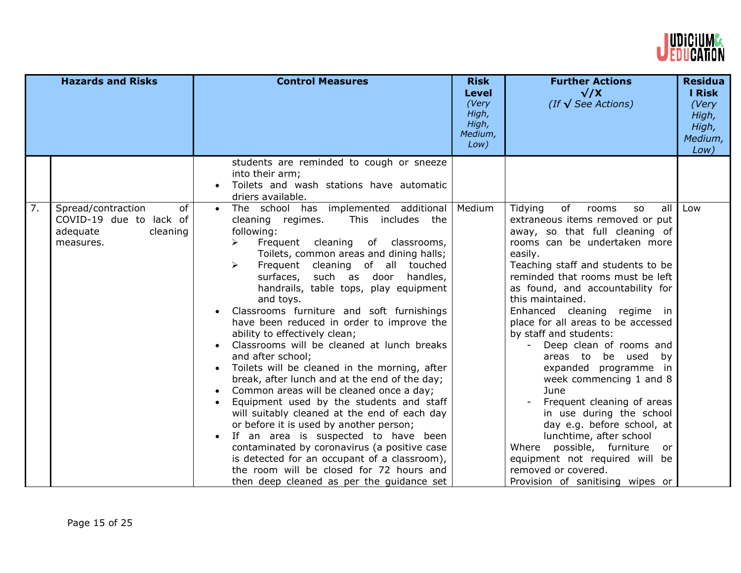

|                  | <b>Hazards and Risks</b>                                                                 | <b>Control Measures</b>                                                                                                                                                                                                                                                                                                                                                                                                                                                                                                                                                                                                                                                                                                                                                                                                                                                                                                                                                                                                                             | <b>Risk</b><br><b>Level</b><br>(Very<br>High,<br>High,<br>Medium,<br>Low) | <b>Further Actions</b><br>$\sqrt{X}$<br>(If $\sqrt{\text{See}$ Actions)                                                                                                                                                                                                                                                                                                                                                                                                                                                                                                                                                                                                                                                                                  | <b>Residua</b><br><b>I</b> Risk<br>(Very<br>High,<br>High,<br>Medium,<br>Low) |
|------------------|------------------------------------------------------------------------------------------|-----------------------------------------------------------------------------------------------------------------------------------------------------------------------------------------------------------------------------------------------------------------------------------------------------------------------------------------------------------------------------------------------------------------------------------------------------------------------------------------------------------------------------------------------------------------------------------------------------------------------------------------------------------------------------------------------------------------------------------------------------------------------------------------------------------------------------------------------------------------------------------------------------------------------------------------------------------------------------------------------------------------------------------------------------|---------------------------------------------------------------------------|----------------------------------------------------------------------------------------------------------------------------------------------------------------------------------------------------------------------------------------------------------------------------------------------------------------------------------------------------------------------------------------------------------------------------------------------------------------------------------------------------------------------------------------------------------------------------------------------------------------------------------------------------------------------------------------------------------------------------------------------------------|-------------------------------------------------------------------------------|
|                  |                                                                                          | students are reminded to cough or sneeze<br>into their arm;<br>Toilets and wash stations have automatic<br>driers available.                                                                                                                                                                                                                                                                                                                                                                                                                                                                                                                                                                                                                                                                                                                                                                                                                                                                                                                        |                                                                           |                                                                                                                                                                                                                                                                                                                                                                                                                                                                                                                                                                                                                                                                                                                                                          |                                                                               |
| $\overline{7}$ . | Spread/contraction<br>of<br>COVID-19 due to lack of<br>adequate<br>cleaning<br>measures. | The school has implemented additional<br>cleaning regimes.<br>This includes the<br>following:<br>Frequent cleaning<br>of classrooms,<br>➤<br>Toilets, common areas and dining halls;<br>Frequent cleaning of all<br>touched<br>➤<br>surfaces,<br>such as door<br>handles,<br>handrails, table tops, play equipment<br>and toys.<br>Classrooms furniture and soft furnishings<br>have been reduced in order to improve the<br>ability to effectively clean;<br>Classrooms will be cleaned at lunch breaks<br>and after school;<br>Toilets will be cleaned in the morning, after<br>break, after lunch and at the end of the day;<br>Common areas will be cleaned once a day;<br>Equipment used by the students and staff<br>will suitably cleaned at the end of each day<br>or before it is used by another person;<br>If an area is suspected to have been<br>contaminated by coronavirus (a positive case<br>is detected for an occupant of a classroom),<br>the room will be closed for 72 hours and<br>then deep cleaned as per the guidance set | Medium                                                                    | Tidying<br>of<br>all<br>rooms<br><b>SO</b><br>extraneous items removed or put<br>away, so that full cleaning of<br>rooms can be undertaken more<br>easily.<br>Teaching staff and students to be<br>reminded that rooms must be left<br>as found, and accountability for<br>this maintained.<br>Enhanced cleaning regime in<br>place for all areas to be accessed<br>by staff and students:<br>Deep clean of rooms and<br>areas to be used by<br>expanded programme in<br>week commencing 1 and 8<br>June<br>Frequent cleaning of areas<br>in use during the school<br>day e.g. before school, at<br>lunchtime, after school<br>Where possible, furniture or<br>equipment not required will be<br>removed or covered.<br>Provision of sanitising wipes or | Low                                                                           |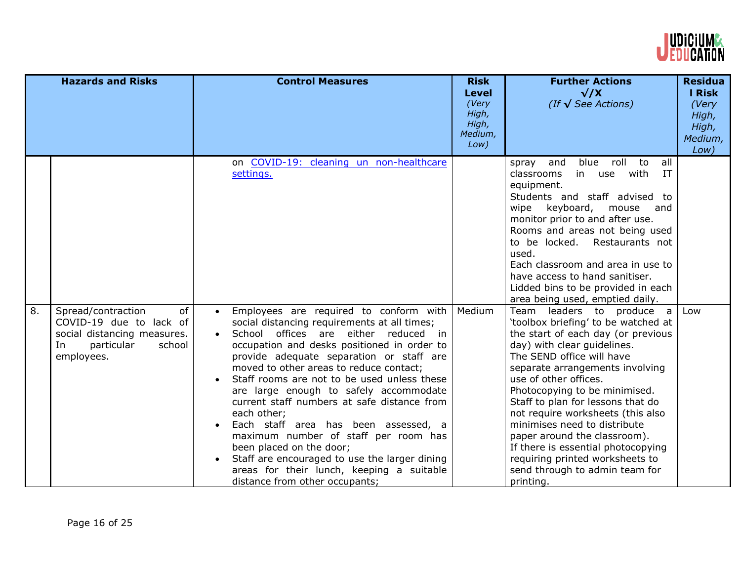

|    | <b>Hazards and Risks</b>                                                                                                       | <b>Control Measures</b>                                                                                                                                                                                                                                                                                                                                                                                                                                                                                                                                                                                                                                                              | <b>Risk</b><br><b>Level</b><br>(Very<br>High,<br>High,<br>Medium,<br>Low) | <b>Further Actions</b><br>$\sqrt{X}$<br>(If $\sqrt{\text{See}$ Actions)                                                                                                                                                                                                                                                                                                                                                                                                                                                           | <b>Residua</b><br><b>I Risk</b><br>(Very<br>High,<br>High,<br>Medium,<br>Low) |
|----|--------------------------------------------------------------------------------------------------------------------------------|--------------------------------------------------------------------------------------------------------------------------------------------------------------------------------------------------------------------------------------------------------------------------------------------------------------------------------------------------------------------------------------------------------------------------------------------------------------------------------------------------------------------------------------------------------------------------------------------------------------------------------------------------------------------------------------|---------------------------------------------------------------------------|-----------------------------------------------------------------------------------------------------------------------------------------------------------------------------------------------------------------------------------------------------------------------------------------------------------------------------------------------------------------------------------------------------------------------------------------------------------------------------------------------------------------------------------|-------------------------------------------------------------------------------|
|    |                                                                                                                                | on COVID-19: cleaning un non-healthcare<br>settings.                                                                                                                                                                                                                                                                                                                                                                                                                                                                                                                                                                                                                                 |                                                                           | blue roll to<br>all<br>and<br>spray<br>IT<br>in use with<br>classrooms<br>equipment.<br>Students and staff advised to<br>keyboard,<br>wipe<br>mouse<br>and<br>monitor prior to and after use.<br>Rooms and areas not being used<br>to be locked. Restaurants not<br>used.<br>Each classroom and area in use to<br>have access to hand sanitiser.<br>Lidded bins to be provided in each<br>area being used, emptied daily.                                                                                                         |                                                                               |
| 8. | Spread/contraction<br>of<br>COVID-19 due to lack of<br>social distancing measures.<br>In<br>particular<br>school<br>employees. | Employees are required to conform with<br>$\bullet$<br>social distancing requirements at all times;<br>School offices are either reduced in<br>occupation and desks positioned in order to<br>provide adequate separation or staff are<br>moved to other areas to reduce contact;<br>Staff rooms are not to be used unless these<br>are large enough to safely accommodate<br>current staff numbers at safe distance from<br>each other;<br>Each staff area has been assessed, a<br>maximum number of staff per room has<br>been placed on the door;<br>Staff are encouraged to use the larger dining<br>areas for their lunch, keeping a suitable<br>distance from other occupants; | Medium                                                                    | Team leaders to produce a<br>'toolbox briefing' to be watched at<br>the start of each day (or previous<br>day) with clear guidelines.<br>The SEND office will have<br>separate arrangements involving<br>use of other offices.<br>Photocopying to be minimised.<br>Staff to plan for lessons that do<br>not require worksheets (this also<br>minimises need to distribute<br>paper around the classroom).<br>If there is essential photocopying<br>requiring printed worksheets to<br>send through to admin team for<br>printing. | Low                                                                           |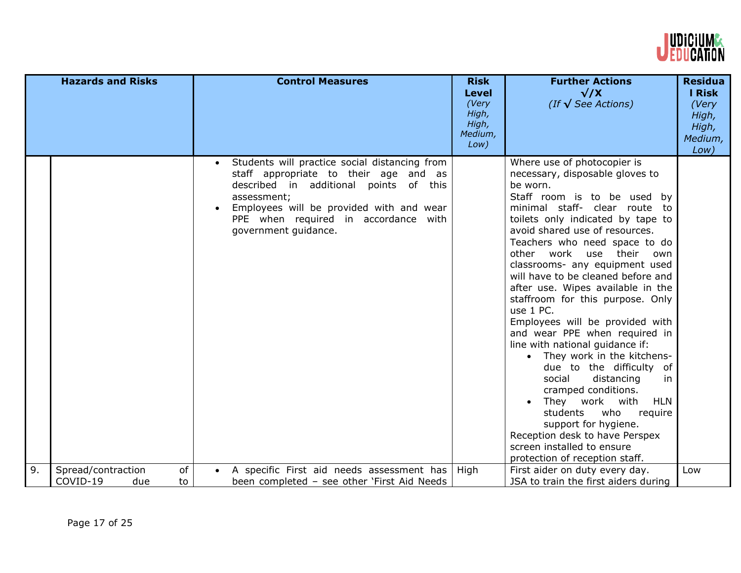

|    | <b>Hazards and Risks</b> | <b>Control Measures</b>                                                                                                                                                                                                                                     | <b>Risk</b><br><b>Level</b><br>(Very<br>High,<br>High,<br>Medium,<br>Low) | <b>Further Actions</b><br>$\sqrt{X}$<br>(If $\sqrt{\text{See}$ Actions)                                                                                                                                                                                                                                                                                                                                                                                                                                                                                                                                                                                                                                                                                                                                                                                                        | <b>Residua</b><br>I Risk<br>(Very<br>High,<br>High,<br>Medium,<br>Low) |
|----|--------------------------|-------------------------------------------------------------------------------------------------------------------------------------------------------------------------------------------------------------------------------------------------------------|---------------------------------------------------------------------------|--------------------------------------------------------------------------------------------------------------------------------------------------------------------------------------------------------------------------------------------------------------------------------------------------------------------------------------------------------------------------------------------------------------------------------------------------------------------------------------------------------------------------------------------------------------------------------------------------------------------------------------------------------------------------------------------------------------------------------------------------------------------------------------------------------------------------------------------------------------------------------|------------------------------------------------------------------------|
|    |                          | Students will practice social distancing from<br>staff appropriate to their age and as<br>described in additional points of this<br>assessment;<br>Employees will be provided with and wear<br>PPE when required in accordance with<br>government guidance. |                                                                           | Where use of photocopier is<br>necessary, disposable gloves to<br>be worn.<br>Staff room is to be used<br>by<br>minimal staff- clear route<br>to<br>toilets only indicated by tape to<br>avoid shared use of resources.<br>Teachers who need space to do<br>other<br>work<br>their<br>use<br>own<br>classrooms- any equipment used<br>will have to be cleaned before and<br>after use. Wipes available in the<br>staffroom for this purpose. Only<br>use 1 PC.<br>Employees will be provided with<br>and wear PPE when required in<br>line with national guidance if:<br>• They work in the kitchens-<br>due to the difficulty of<br>social<br>distancing<br>in<br>cramped conditions.<br>They work with<br><b>HLN</b><br>students<br>who<br>require<br>support for hygiene.<br>Reception desk to have Perspex<br>screen installed to ensure<br>protection of reception staff. |                                                                        |
| 9. | of<br>Spread/contraction | A specific First aid needs assessment has<br>$\bullet$                                                                                                                                                                                                      | High                                                                      | First aider on duty every day.                                                                                                                                                                                                                                                                                                                                                                                                                                                                                                                                                                                                                                                                                                                                                                                                                                                 | Low                                                                    |
|    | COVID-19<br>due<br>to    | been completed - see other 'First Aid Needs                                                                                                                                                                                                                 |                                                                           | JSA to train the first aiders during                                                                                                                                                                                                                                                                                                                                                                                                                                                                                                                                                                                                                                                                                                                                                                                                                                           |                                                                        |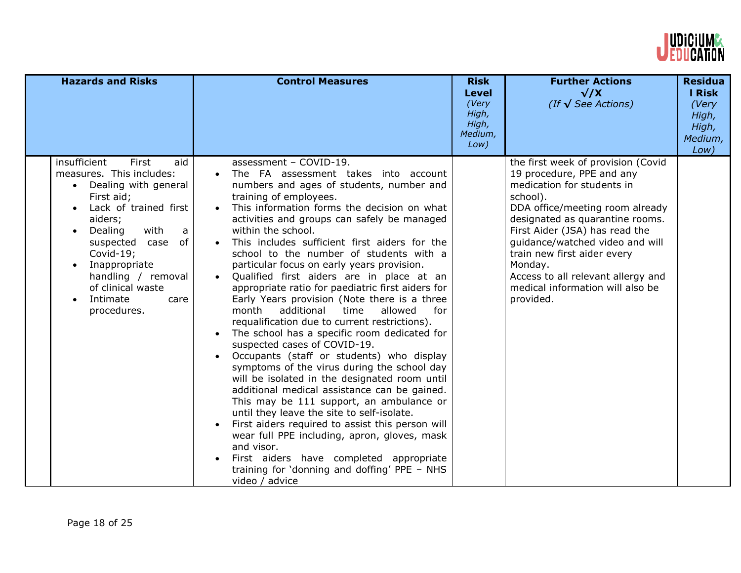

| <b>Hazards and Risks</b>                                                                                                                                                                                                                                                                                                 | <b>Control Measures</b>                                                                                                                                                                                                                                                                                                                                                                                                                                                                                                                                                                                                                                                                                                                                                                                                                                                                                                                                                                                                                                                                                                                                                                                                                                      | <b>Risk</b><br>Level<br>(Very<br>High,<br>High,<br>Medium,<br>Low) | <b>Further Actions</b><br>$\sqrt{X}$<br>(If $\sqrt{\text{See}$ Actions)                                                                                                                                                                                                                                                                                                               | <b>Residua</b><br>I Risk<br>(Very<br>High,<br>High,<br>Medium,<br>Low) |
|--------------------------------------------------------------------------------------------------------------------------------------------------------------------------------------------------------------------------------------------------------------------------------------------------------------------------|--------------------------------------------------------------------------------------------------------------------------------------------------------------------------------------------------------------------------------------------------------------------------------------------------------------------------------------------------------------------------------------------------------------------------------------------------------------------------------------------------------------------------------------------------------------------------------------------------------------------------------------------------------------------------------------------------------------------------------------------------------------------------------------------------------------------------------------------------------------------------------------------------------------------------------------------------------------------------------------------------------------------------------------------------------------------------------------------------------------------------------------------------------------------------------------------------------------------------------------------------------------|--------------------------------------------------------------------|---------------------------------------------------------------------------------------------------------------------------------------------------------------------------------------------------------------------------------------------------------------------------------------------------------------------------------------------------------------------------------------|------------------------------------------------------------------------|
| insufficient<br>First<br>aid<br>measures. This includes:<br>Dealing with general<br>First aid;<br>Lack of trained first<br>aiders;<br>Dealing<br>with<br>a<br>of<br>suspected case<br>Covid-19;<br>Inappropriate<br>$\bullet$<br>handling / removal<br>of clinical waste<br>Intimate<br>care<br>$\bullet$<br>procedures. | assessment - COVID-19.<br>The FA assessment takes into account<br>numbers and ages of students, number and<br>training of employees.<br>This information forms the decision on what<br>activities and groups can safely be managed<br>within the school.<br>This includes sufficient first aiders for the<br>school to the number of students with a<br>particular focus on early years provision.<br>Qualified first aiders are in place at an<br>appropriate ratio for paediatric first aiders for<br>Early Years provision (Note there is a three<br>month<br>additional<br>allowed<br>for<br>time<br>requalification due to current restrictions).<br>The school has a specific room dedicated for<br>suspected cases of COVID-19.<br>Occupants (staff or students) who display<br>symptoms of the virus during the school day<br>will be isolated in the designated room until<br>additional medical assistance can be gained.<br>This may be 111 support, an ambulance or<br>until they leave the site to self-isolate.<br>First aiders required to assist this person will<br>wear full PPE including, apron, gloves, mask<br>and visor.<br>First aiders have completed appropriate<br>training for 'donning and doffing' PPE - NHS<br>video / advice |                                                                    | the first week of provision (Covid<br>19 procedure, PPE and any<br>medication for students in<br>school).<br>DDA office/meeting room already<br>designated as quarantine rooms.<br>First Aider (JSA) has read the<br>guidance/watched video and will<br>train new first aider every<br>Monday.<br>Access to all relevant allergy and<br>medical information will also be<br>provided. |                                                                        |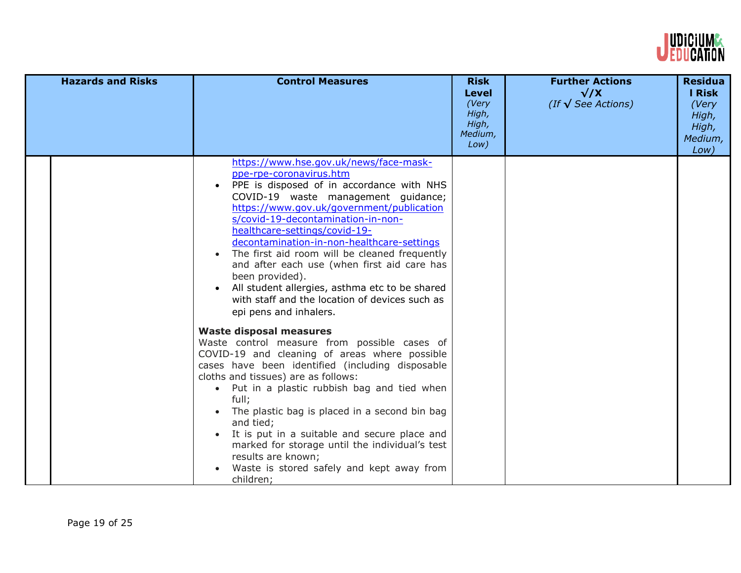

| <b>Hazards and Risks</b> | <b>Control Measures</b>                                                                                                                                                                                                                                                                                                                                                                                                                                                                                                                                                               | <b>Risk</b><br><b>Level</b><br>(Very<br>High,<br>High,<br>Medium,<br>Low) | <b>Further Actions</b><br>$\sqrt{X}$<br>(If $\sqrt{\text{See}$ Actions) | <b>Residua</b><br>I Risk<br>(Very<br>High,<br>High,<br>Medium,<br>Low) |
|--------------------------|---------------------------------------------------------------------------------------------------------------------------------------------------------------------------------------------------------------------------------------------------------------------------------------------------------------------------------------------------------------------------------------------------------------------------------------------------------------------------------------------------------------------------------------------------------------------------------------|---------------------------------------------------------------------------|-------------------------------------------------------------------------|------------------------------------------------------------------------|
|                          | https://www.hse.gov.uk/news/face-mask-<br>ppe-rpe-coronavirus.htm<br>PPE is disposed of in accordance with NHS<br>COVID-19 waste management guidance;<br>https://www.gov.uk/government/publication<br>s/covid-19-decontamination-in-non-<br>healthcare-settings/covid-19-<br>decontamination-in-non-healthcare-settings<br>The first aid room will be cleaned frequently<br>and after each use (when first aid care has<br>been provided).<br>All student allergies, asthma etc to be shared<br>$\bullet$<br>with staff and the location of devices such as<br>epi pens and inhalers. |                                                                           |                                                                         |                                                                        |
|                          | <b>Waste disposal measures</b><br>Waste control measure from possible cases of<br>COVID-19 and cleaning of areas where possible<br>cases have been identified (including disposable<br>cloths and tissues) are as follows:<br>• Put in a plastic rubbish bag and tied when<br>full;<br>The plastic bag is placed in a second bin bag<br>and tied;<br>It is put in a suitable and secure place and<br>marked for storage until the individual's test<br>results are known;<br>Waste is stored safely and kept away from<br>children;                                                   |                                                                           |                                                                         |                                                                        |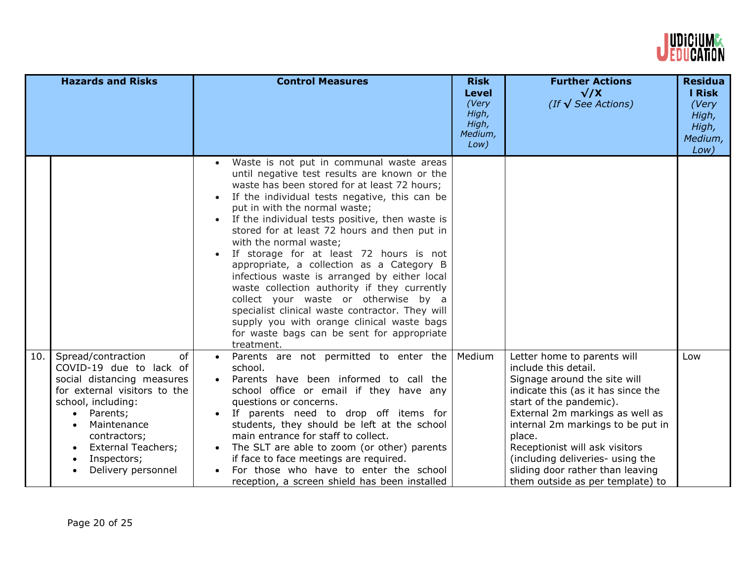

|     | <b>Hazards and Risks</b>                                                                                                                                                                                                                             | <b>Control Measures</b>                                                                                                                                                                                                                                                                                                                                                                                                                                                                                                                                                                                                                                                                                                                                           | <b>Risk</b><br><b>Level</b><br>(Very<br>High,<br>High,<br>Medium,<br>Low) | <b>Further Actions</b><br>$\sqrt{X}$<br>(If $\sqrt{\text{See}$ Actions)                                                                                                                                                                                                                                                                                                              | <b>Residua</b><br>I Risk<br>(Very<br>High,<br>High,<br>Medium,<br>Low) |
|-----|------------------------------------------------------------------------------------------------------------------------------------------------------------------------------------------------------------------------------------------------------|-------------------------------------------------------------------------------------------------------------------------------------------------------------------------------------------------------------------------------------------------------------------------------------------------------------------------------------------------------------------------------------------------------------------------------------------------------------------------------------------------------------------------------------------------------------------------------------------------------------------------------------------------------------------------------------------------------------------------------------------------------------------|---------------------------------------------------------------------------|--------------------------------------------------------------------------------------------------------------------------------------------------------------------------------------------------------------------------------------------------------------------------------------------------------------------------------------------------------------------------------------|------------------------------------------------------------------------|
|     |                                                                                                                                                                                                                                                      | Waste is not put in communal waste areas<br>until negative test results are known or the<br>waste has been stored for at least 72 hours;<br>If the individual tests negative, this can be<br>put in with the normal waste;<br>If the individual tests positive, then waste is<br>stored for at least 72 hours and then put in<br>with the normal waste;<br>If storage for at least 72 hours is not<br>$\bullet$<br>appropriate, a collection as a Category B<br>infectious waste is arranged by either local<br>waste collection authority if they currently<br>collect your waste or otherwise by a<br>specialist clinical waste contractor. They will<br>supply you with orange clinical waste bags<br>for waste bags can be sent for appropriate<br>treatment. |                                                                           |                                                                                                                                                                                                                                                                                                                                                                                      |                                                                        |
| 10. | of<br>Spread/contraction<br>COVID-19 due to lack of<br>social distancing measures<br>for external visitors to the<br>school, including:<br>Parents;<br>Maintenance<br>contractors;<br><b>External Teachers;</b><br>Inspectors;<br>Delivery personnel | Parents are not permitted to enter the<br>school.<br>Parents have been informed to call the<br>school office or email if they have any<br>questions or concerns.<br>If parents need to drop off items for<br>students, they should be left at the school<br>main entrance for staff to collect.<br>The SLT are able to zoom (or other) parents<br>if face to face meetings are required.<br>For those who have to enter the school<br>reception, a screen shield has been installed                                                                                                                                                                                                                                                                               | Medium                                                                    | Letter home to parents will<br>include this detail.<br>Signage around the site will<br>indicate this (as it has since the<br>start of the pandemic).<br>External 2m markings as well as<br>internal 2m markings to be put in<br>place.<br>Receptionist will ask visitors<br>(including deliveries- using the<br>sliding door rather than leaving<br>them outside as per template) to | Low                                                                    |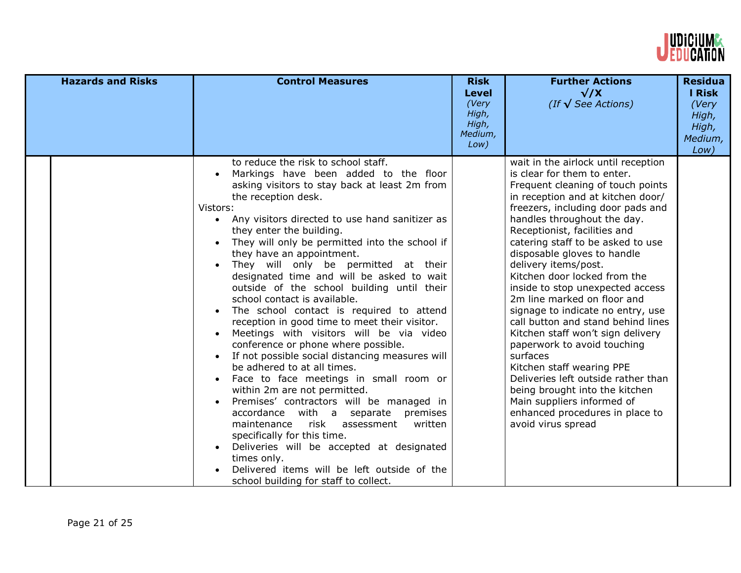

| <b>Hazards and Risks</b> | <b>Control Measures</b>                                                                                                                                                                                                                                                                                                                                                                                                                                                                                                                                                                                                                                                                                                                                                                                                                                                                                                                                                                                                                                                                                                                                                  | <b>Risk</b><br><b>Level</b><br>(Very<br>High,<br>High,<br>Medium,<br>Low) | <b>Further Actions</b><br>$\sqrt{X}$<br>(If $\sqrt{\text{See}$ Actions)                                                                                                                                                                                                                                                                                                                                                                                                                                                                                                                                                                                                                                                                                                                                 | <b>Residua</b><br><b>I Risk</b><br>(Very<br>High,<br>High,<br>Medium,<br>Low) |
|--------------------------|--------------------------------------------------------------------------------------------------------------------------------------------------------------------------------------------------------------------------------------------------------------------------------------------------------------------------------------------------------------------------------------------------------------------------------------------------------------------------------------------------------------------------------------------------------------------------------------------------------------------------------------------------------------------------------------------------------------------------------------------------------------------------------------------------------------------------------------------------------------------------------------------------------------------------------------------------------------------------------------------------------------------------------------------------------------------------------------------------------------------------------------------------------------------------|---------------------------------------------------------------------------|---------------------------------------------------------------------------------------------------------------------------------------------------------------------------------------------------------------------------------------------------------------------------------------------------------------------------------------------------------------------------------------------------------------------------------------------------------------------------------------------------------------------------------------------------------------------------------------------------------------------------------------------------------------------------------------------------------------------------------------------------------------------------------------------------------|-------------------------------------------------------------------------------|
|                          | to reduce the risk to school staff.<br>Markings have been added to the floor<br>asking visitors to stay back at least 2m from<br>the reception desk.<br>Vistors:<br>• Any visitors directed to use hand sanitizer as<br>they enter the building.<br>They will only be permitted into the school if<br>they have an appointment.<br>They will only be permitted at their<br>designated time and will be asked to wait<br>outside of the school building until their<br>school contact is available.<br>The school contact is required to attend<br>$\bullet$<br>reception in good time to meet their visitor.<br>Meetings with visitors will be via video<br>conference or phone where possible.<br>If not possible social distancing measures will<br>be adhered to at all times.<br>Face to face meetings in small room or<br>within 2m are not permitted.<br>Premises' contractors will be managed in<br>accordance with a separate premises<br>maintenance risk assessment written<br>specifically for this time.<br>Deliveries will be accepted at designated<br>times only.<br>Delivered items will be left outside of the<br>school building for staff to collect. |                                                                           | wait in the airlock until reception<br>is clear for them to enter.<br>Frequent cleaning of touch points<br>in reception and at kitchen door/<br>freezers, including door pads and<br>handles throughout the day.<br>Receptionist, facilities and<br>catering staff to be asked to use<br>disposable gloves to handle<br>delivery items/post.<br>Kitchen door locked from the<br>inside to stop unexpected access<br>2m line marked on floor and<br>signage to indicate no entry, use<br>call button and stand behind lines<br>Kitchen staff won't sign delivery<br>paperwork to avoid touching<br>surfaces<br>Kitchen staff wearing PPE<br>Deliveries left outside rather than<br>being brought into the kitchen<br>Main suppliers informed of<br>enhanced procedures in place to<br>avoid virus spread |                                                                               |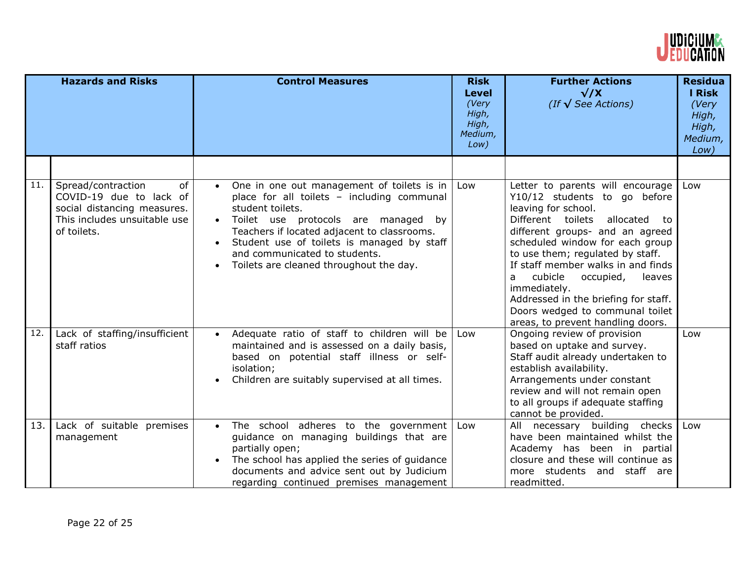

|     | <b>Hazards and Risks</b>                                                                                                          | <b>Control Measures</b>                                                                                                                                                                                                                                                                                                                                | <b>Risk</b><br><b>Level</b><br>(Very<br>High,<br>High,<br>Medium,<br>Low) | <b>Further Actions</b><br>$\sqrt{X}$<br>(If $\sqrt{\text{See}$ Actions)                                                                                                                                                                                                                                                                                                                                                                                | <b>Residua</b><br><b>I Risk</b><br>(Very<br>High,<br>High,<br>Medium,<br>Low) |
|-----|-----------------------------------------------------------------------------------------------------------------------------------|--------------------------------------------------------------------------------------------------------------------------------------------------------------------------------------------------------------------------------------------------------------------------------------------------------------------------------------------------------|---------------------------------------------------------------------------|--------------------------------------------------------------------------------------------------------------------------------------------------------------------------------------------------------------------------------------------------------------------------------------------------------------------------------------------------------------------------------------------------------------------------------------------------------|-------------------------------------------------------------------------------|
|     |                                                                                                                                   |                                                                                                                                                                                                                                                                                                                                                        |                                                                           |                                                                                                                                                                                                                                                                                                                                                                                                                                                        |                                                                               |
| 11. | Spread/contraction<br>of<br>COVID-19 due to lack of<br>social distancing measures.<br>This includes unsuitable use<br>of toilets. | One in one out management of toilets is in<br>$\bullet$<br>place for all toilets - including communal<br>student toilets.<br>Toilet use protocols are managed by<br>Teachers if located adjacent to classrooms.<br>Student use of toilets is managed by staff<br>and communicated to students.<br>Toilets are cleaned throughout the day.<br>$\bullet$ | Low                                                                       | Letter to parents will encourage<br>Y10/12 students to go before<br>leaving for school.<br>Different toilets<br>allocated<br>to<br>different groups- and an agreed<br>scheduled window for each group<br>to use them; regulated by staff.<br>If staff member walks in and finds<br>cubicle<br>occupied,<br>leaves<br>a<br>immediately.<br>Addressed in the briefing for staff.<br>Doors wedged to communal toilet<br>areas, to prevent handling doors. | Low                                                                           |
| 12. | Lack of staffing/insufficient<br>staff ratios                                                                                     | Adequate ratio of staff to children will be<br>$\bullet$<br>maintained and is assessed on a daily basis,<br>based on potential staff illness or self-<br>isolation;<br>Children are suitably supervised at all times.                                                                                                                                  | Low                                                                       | Ongoing review of provision<br>based on uptake and survey.<br>Staff audit already undertaken to<br>establish availability.<br>Arrangements under constant<br>review and will not remain open<br>to all groups if adequate staffing<br>cannot be provided.                                                                                                                                                                                              | Low                                                                           |
| 13. | Lack of suitable premises<br>management                                                                                           | The school adheres to the government<br>guidance on managing buildings that are<br>partially open;<br>The school has applied the series of guidance<br>$\bullet$<br>documents and advice sent out by Judicium<br>regarding continued premises management                                                                                               | Low                                                                       | All necessary building checks<br>have been maintained whilst the<br>Academy has been in partial<br>closure and these will continue as<br>more students and staff are<br>readmitted.                                                                                                                                                                                                                                                                    | Low                                                                           |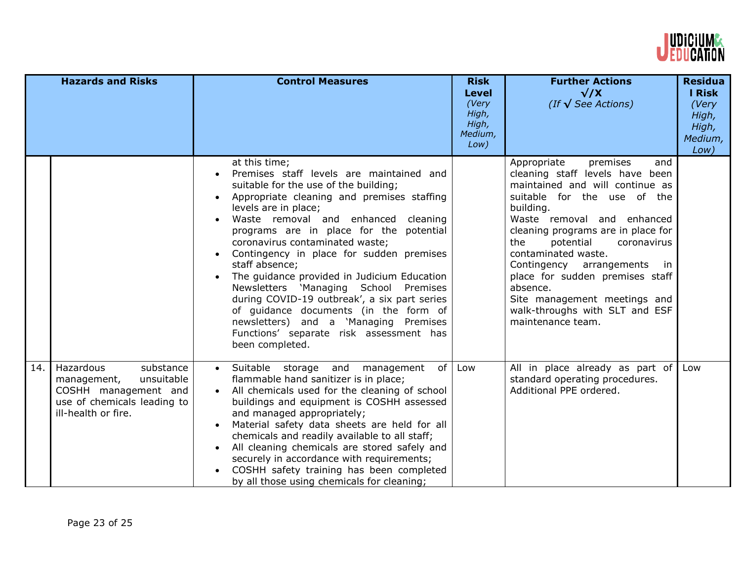

|     | <b>Hazards and Risks</b>                                                                                                          | <b>Control Measures</b>                                                                                                                                                                                                                                                                                                                                                                                                                                                                                                                                                                                                                                                          | <b>Risk</b><br><b>Level</b><br>(Very<br>High,<br>High,<br>Medium,<br>Low) | <b>Further Actions</b><br>$\sqrt{X}$<br>(If $\sqrt{\text{See}$ Actions)                                                                                                                                                                                                                                                                                                                                                                                 | <b>Residua</b><br><b>I Risk</b><br>(Very<br>High,<br>High,<br>Medium,<br>Low) |
|-----|-----------------------------------------------------------------------------------------------------------------------------------|----------------------------------------------------------------------------------------------------------------------------------------------------------------------------------------------------------------------------------------------------------------------------------------------------------------------------------------------------------------------------------------------------------------------------------------------------------------------------------------------------------------------------------------------------------------------------------------------------------------------------------------------------------------------------------|---------------------------------------------------------------------------|---------------------------------------------------------------------------------------------------------------------------------------------------------------------------------------------------------------------------------------------------------------------------------------------------------------------------------------------------------------------------------------------------------------------------------------------------------|-------------------------------------------------------------------------------|
|     |                                                                                                                                   | at this time;<br>Premises staff levels are maintained and<br>suitable for the use of the building;<br>Appropriate cleaning and premises staffing<br>levels are in place;<br>Waste removal and enhanced<br>cleaning<br>programs are in place for the potential<br>coronavirus contaminated waste;<br>Contingency in place for sudden premises<br>$\bullet$<br>staff absence;<br>The guidance provided in Judicium Education<br>$\bullet$<br>Newsletters 'Managing School Premises<br>during COVID-19 outbreak', a six part series<br>of guidance documents (in the form of<br>newsletters) and a 'Managing Premises<br>Functions' separate risk assessment has<br>been completed. |                                                                           | Appropriate<br>premises<br>and<br>cleaning staff levels have been<br>maintained and will continue as<br>suitable for the use of the<br>building.<br>Waste removal and enhanced<br>cleaning programs are in place for<br>potential<br>the<br>coronavirus<br>contaminated waste.<br>Contingency arrangements<br>in.<br>place for sudden premises staff<br>absence.<br>Site management meetings and<br>walk-throughs with SLT and ESF<br>maintenance team. |                                                                               |
| 14. | Hazardous<br>substance<br>unsuitable<br>management,<br>COSHH management and<br>use of chemicals leading to<br>ill-health or fire. | · Suitable storage and<br>of <sub>1</sub><br>management<br>flammable hand sanitizer is in place;<br>All chemicals used for the cleaning of school<br>buildings and equipment is COSHH assessed<br>and managed appropriately;<br>Material safety data sheets are held for all<br>$\bullet$<br>chemicals and readily available to all staff;<br>All cleaning chemicals are stored safely and<br>$\bullet$<br>securely in accordance with requirements;<br>COSHH safety training has been completed<br>$\bullet$<br>by all those using chemicals for cleaning;                                                                                                                      | Low                                                                       | All in place already as part of<br>standard operating procedures.<br>Additional PPE ordered.                                                                                                                                                                                                                                                                                                                                                            | Low                                                                           |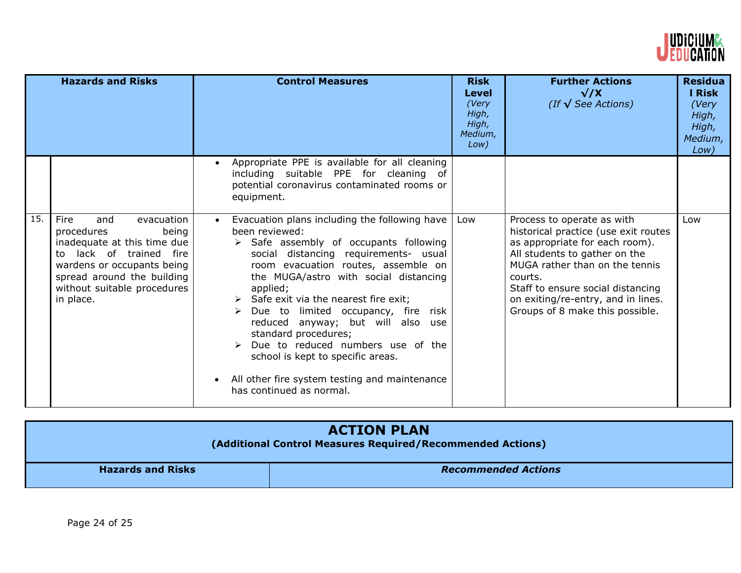

|     | <b>Hazards and Risks</b>                                                                                                                                                                                                     | <b>Control Measures</b>                                                                                                                                                                                                                                                                                                                                                                                                                                                                                                                                             | <b>Risk</b><br>Level<br>(Very<br>High,<br>High,<br>Medium,<br>Low) | <b>Further Actions</b><br>$\sqrt{X}$<br>(If $\sqrt{\text{See}$ Actions)                                                                                                                                                                                                                          | <b>Residua</b><br>I Risk<br>(Very<br>High,<br>High,<br>Medium,<br>Low) |
|-----|------------------------------------------------------------------------------------------------------------------------------------------------------------------------------------------------------------------------------|---------------------------------------------------------------------------------------------------------------------------------------------------------------------------------------------------------------------------------------------------------------------------------------------------------------------------------------------------------------------------------------------------------------------------------------------------------------------------------------------------------------------------------------------------------------------|--------------------------------------------------------------------|--------------------------------------------------------------------------------------------------------------------------------------------------------------------------------------------------------------------------------------------------------------------------------------------------|------------------------------------------------------------------------|
|     |                                                                                                                                                                                                                              | Appropriate PPE is available for all cleaning<br>including suitable PPE for cleaning of<br>potential coronavirus contaminated rooms or<br>equipment.                                                                                                                                                                                                                                                                                                                                                                                                                |                                                                    |                                                                                                                                                                                                                                                                                                  |                                                                        |
| 15. | evacuation<br><b>Fire</b><br>and<br>being<br>procedures<br>inadequate at this time due<br>lack of trained fire<br>to<br>wardens or occupants being<br>spread around the building<br>without suitable procedures<br>in place. | Evacuation plans including the following have<br>$\bullet$<br>been reviewed:<br>> Safe assembly of occupants following<br>social distancing requirements- usual<br>room evacuation routes, assemble on<br>the MUGA/astro with social distancing<br>applied;<br>Safe exit via the nearest fire exit;<br>Due to limited occupancy, fire risk<br>⋗<br>reduced anyway; but will also use<br>standard procedures;<br>Due to reduced numbers use of the<br>school is kept to specific areas.<br>All other fire system testing and maintenance<br>has continued as normal. | Low                                                                | Process to operate as with<br>historical practice (use exit routes<br>as appropriate for each room).<br>All students to gather on the<br>MUGA rather than on the tennis<br>courts.<br>Staff to ensure social distancing<br>on exiting/re-entry, and in lines.<br>Groups of 8 make this possible. | Low                                                                    |

| <b>ACTION PLAN</b><br>(Additional Control Measures Required/Recommended Actions) |                            |  |
|----------------------------------------------------------------------------------|----------------------------|--|
| <b>Hazards and Risks</b>                                                         | <b>Recommended Actions</b> |  |